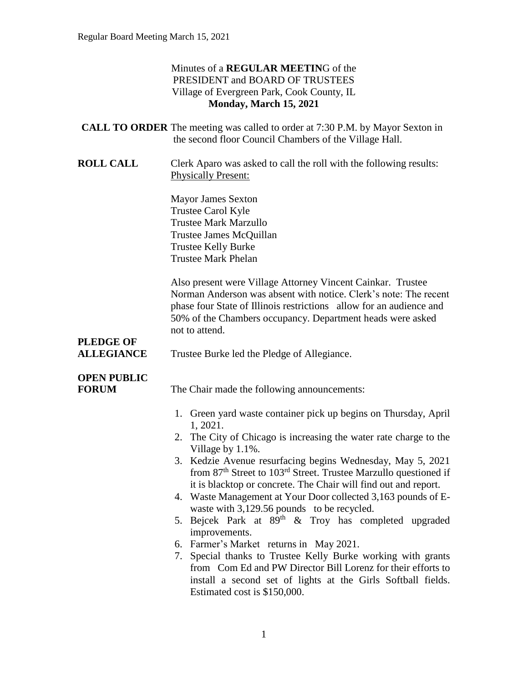#### Minutes of a **REGULAR MEETIN**G of the PRESIDENT and BOARD OF TRUSTEES Village of Evergreen Park, Cook County, IL **Monday, March 15, 2021**

| <b>CALL TO ORDER</b> The meeting was called to order at 7:30 P.M. by Mayor Sexton in |
|--------------------------------------------------------------------------------------|
| the second floor Council Chambers of the Village Hall.                               |

**ROLL CALL** Clerk Aparo was asked to call the roll with the following results: Physically Present:

> Mayor James Sexton Trustee Carol Kyle Trustee Mark Marzullo Trustee James McQuillan Trustee Kelly Burke Trustee Mark Phelan

Also present were Village Attorney Vincent Cainkar. Trustee Norman Anderson was absent with notice. Clerk's note: The recent phase four State of Illinois restrictions allow for an audience and 50% of the Chambers occupancy. Department heads were asked not to attend.

# **PLEDGE OF**

ALLEGIANCE Trustee Burke led the Pledge of Allegiance.

### **OPEN PUBLIC**

**FORUM** The Chair made the following announcements:

- 1. Green yard waste container pick up begins on Thursday, April 1, 2021.
- 2. The City of Chicago is increasing the water rate charge to the Village by 1.1%.
- 3. Kedzie Avenue resurfacing begins Wednesday, May 5, 2021 from  $87<sup>th</sup>$  Street to  $103<sup>rd</sup>$  Street. Trustee Marzullo questioned if it is blacktop or concrete. The Chair will find out and report.
- 4. Waste Management at Your Door collected 3,163 pounds of Ewaste with 3,129.56 pounds to be recycled.
- 5. Bejcek Park at  $89<sup>th</sup>$  & Troy has completed upgraded improvements.
- 6. Farmer's Market returns in May 2021.
- 7. Special thanks to Trustee Kelly Burke working with grants from Com Ed and PW Director Bill Lorenz for their efforts to install a second set of lights at the Girls Softball fields. Estimated cost is \$150,000.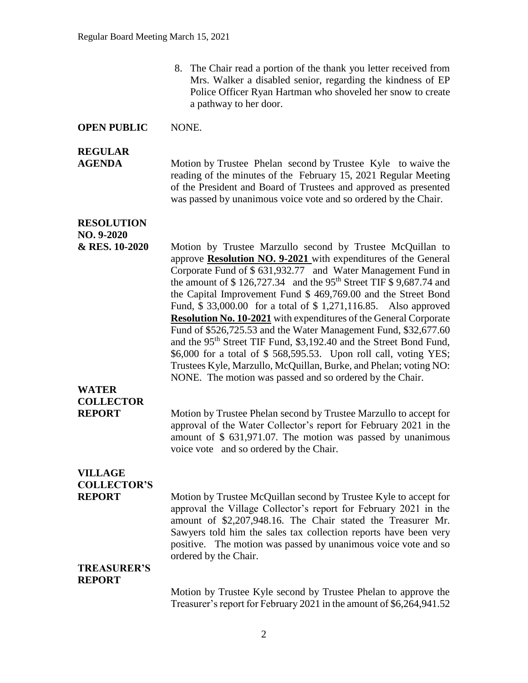8. The Chair read a portion of the thank you letter received from Mrs. Walker a disabled senior, regarding the kindness of EP Police Officer Ryan Hartman who shoveled her snow to create a pathway to her door.

#### **OPEN PUBLIC** NONE.

#### **REGULAR**

**AGENDA** Motion by Trustee Phelan second by Trustee Kyle to waive the reading of the minutes of the February 15, 2021 Regular Meeting of the President and Board of Trustees and approved as presented was passed by unanimous voice vote and so ordered by the Chair.

#### **RESOLUTION**

**NO. 9-2020 & RES. 10-2020** Motion by Trustee Marzullo second by Trustee McQuillan to approve **Resolution NO. 9-2021** with expenditures of the General Corporate Fund of \$ 631,932.77 and Water Management Fund in the amount of  $$ 126,727.34$  and the 95<sup>th</sup> Street TIF  $$ 9,687.74$  and the Capital Improvement Fund \$ 469,769.00 and the Street Bond Fund, \$ 33,000.00 for a total of \$ 1,271,116.85. Also approved **Resolution No. 10-2021** with expenditures of the General Corporate Fund of \$526,725.53 and the Water Management Fund, \$32,677.60 and the 95<sup>th</sup> Street TIF Fund, \$3,192.40 and the Street Bond Fund, \$6,000 for a total of \$ 568,595.53. Upon roll call, voting YES; Trustees Kyle, Marzullo, McQuillan, Burke, and Phelan; voting NO: NONE. The motion was passed and so ordered by the Chair.

### **WATER COLLECTOR**

**REPORT** Motion by Trustee Phelan second by Trustee Marzullo to accept for approval of the Water Collector's report for February 2021 in the amount of \$ 631,971.07. The motion was passed by unanimous voice vote and so ordered by the Chair.

### **VILLAGE COLLECTOR'S**

**REPORT** Motion by Trustee McQuillan second by Trustee Kyle to accept for approval the Village Collector's report for February 2021 in the amount of \$2,207,948.16. The Chair stated the Treasurer Mr. Sawyers told him the sales tax collection reports have been very positive. The motion was passed by unanimous voice vote and so ordered by the Chair.

#### **TREASURER'S REPORT**

Motion by Trustee Kyle second by Trustee Phelan to approve the Treasurer's report for February 2021 in the amount of \$6,264,941.52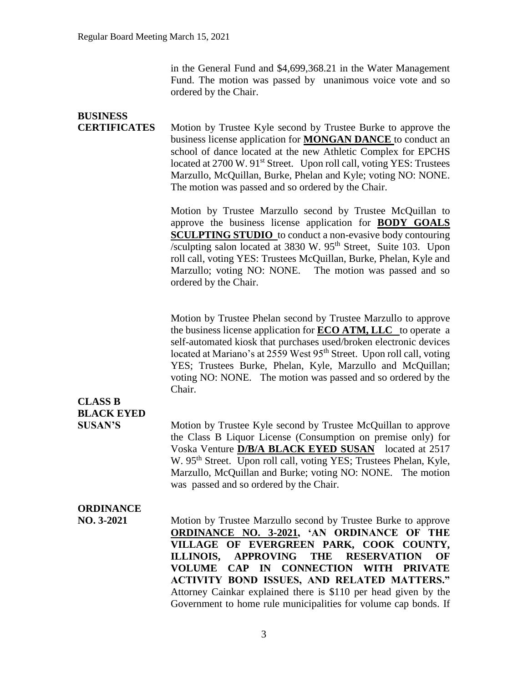in the General Fund and \$4,699,368.21 in the Water Management Fund. The motion was passed by unanimous voice vote and so ordered by the Chair.

| <b>BUSINESS</b><br><b>CERTIFICATES</b> | Motion by Trustee Kyle second by Trustee Burke to approve the<br>business license application for <b>MONGAN DANCE</b> to conduct an<br>school of dance located at the new Athletic Complex for EPCHS<br>located at 2700 W. 91 <sup>st</sup> Street. Upon roll call, voting YES: Trustees<br>Marzullo, McQuillan, Burke, Phelan and Kyle; voting NO: NONE.<br>The motion was passed and so ordered by the Chair.                                                                      |
|----------------------------------------|--------------------------------------------------------------------------------------------------------------------------------------------------------------------------------------------------------------------------------------------------------------------------------------------------------------------------------------------------------------------------------------------------------------------------------------------------------------------------------------|
|                                        | Motion by Trustee Marzullo second by Trustee McQuillan to<br>approve the business license application for <b>BODY GOALS</b><br><b>SCULPTING STUDIO</b> to conduct a non-evasive body contouring<br>/sculpting salon located at 3830 W. 95 <sup>th</sup> Street, Suite 103. Upon<br>roll call, voting YES: Trustees McQuillan, Burke, Phelan, Kyle and<br>Marzullo; voting NO: NONE. The motion was passed and so<br>ordered by the Chair.                                            |
| <b>CLASS B</b>                         | Motion by Trustee Phelan second by Trustee Marzullo to approve<br>the business license application for <b>ECO ATM, LLC</b> to operate a<br>self-automated kiosk that purchases used/broken electronic devices<br>located at Mariano's at 2559 West 95 <sup>th</sup> Street. Upon roll call, voting<br>YES; Trustees Burke, Phelan, Kyle, Marzullo and McQuillan;<br>voting NO: NONE. The motion was passed and so ordered by the<br>Chair.                                           |
| <b>BLACK EYED</b><br><b>SUSAN'S</b>    | Motion by Trustee Kyle second by Trustee McQuillan to approve<br>the Class B Liquor License (Consumption on premise only) for<br>Voska Venture D/B/A BLACK EYED SUSAN located at 2517<br>W. 95 <sup>th</sup> Street. Upon roll call, voting YES; Trustees Phelan, Kyle,<br>Marzullo, McQuillan and Burke; voting NO: NONE. The motion<br>was passed and so ordered by the Chair.                                                                                                     |
| <b>ORDINANCE</b><br>NO. 3-2021         | Motion by Trustee Marzullo second by Trustee Burke to approve<br><b>ORDINANCE NO. 3-2021, 'AN ORDINANCE OF THE</b><br>VILLAGE OF EVERGREEN PARK, COOK COUNTY,<br><b>ILLINOIS,</b><br><b>APPROVING</b><br><b>THE</b><br><b>RESERVATION</b><br>OF<br>VOLUME CAP IN CONNECTION WITH PRIVATE<br><b>ACTIVITY BOND ISSUES, AND RELATED MATTERS."</b><br>Attorney Cainkar explained there is \$110 per head given by the<br>Government to home rule municipalities for volume cap bonds. If |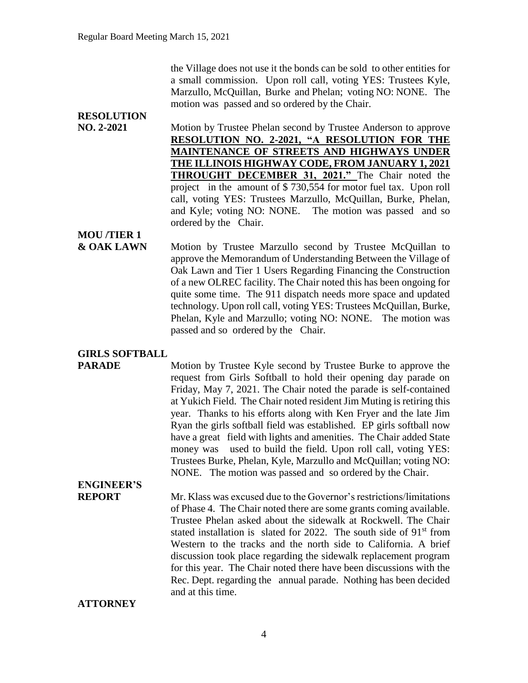the Village does not use it the bonds can be sold to other entities for a small commission. Upon roll call, voting YES: Trustees Kyle, Marzullo, McQuillan, Burke and Phelan; voting NO: NONE. The motion was passed and so ordered by the Chair.

# **RESOLUTION**

**NO. 2-2021** Motion by Trustee Phelan second by Trustee Anderson to approve **RESOLUTION NO. 2-2021, "A RESOLUTION FOR THE MAINTENANCE OF STREETS AND HIGHWAYS UNDER THE ILLINOIS HIGHWAY CODE, FROM JANUARY 1, 2021 THROUGHT DECEMBER 31, 2021."** The Chair noted the project in the amount of \$ 730,554 for motor fuel tax. Upon roll call, voting YES: Trustees Marzullo, McQuillan, Burke, Phelan, and Kyle; voting NO: NONE. The motion was passed and so ordered by the Chair.

### **MOU /TIER 1**

**& OAK LAWN** Motion by Trustee Marzullo second by Trustee McQuillan to approve the Memorandum of Understanding Between the Village of Oak Lawn and Tier 1 Users Regarding Financing the Construction of a new OLREC facility. The Chair noted this has been ongoing for quite some time. The 911 dispatch needs more space and updated technology. Upon roll call, voting YES: Trustees McQuillan, Burke, Phelan, Kyle and Marzullo; voting NO: NONE. The motion was passed and so ordered by the Chair.

#### **GIRLS SOFTBALL**

**PARADE** Motion by Trustee Kyle second by Trustee Burke to approve the request from Girls Softball to hold their opening day parade on Friday, May 7, 2021. The Chair noted the parade is self-contained at Yukich Field. The Chair noted resident Jim Muting is retiring this year. Thanks to his efforts along with Ken Fryer and the late Jim Ryan the girls softball field was established. EP girls softball now have a great field with lights and amenities. The Chair added State money was used to build the field. Upon roll call, voting YES: Trustees Burke, Phelan, Kyle, Marzullo and McQuillan; voting NO: NONE. The motion was passed and so ordered by the Chair.

## **ENGINEER'S**

**REPORT** Mr. Klass was excused due to the Governor's restrictions/limitations of Phase 4. The Chair noted there are some grants coming available. Trustee Phelan asked about the sidewalk at Rockwell. The Chair stated installation is slated for 2022. The south side of  $91<sup>st</sup>$  from Western to the tracks and the north side to California. A brief discussion took place regarding the sidewalk replacement program for this year. The Chair noted there have been discussions with the Rec. Dept. regarding the annual parade. Nothing has been decided and at this time.

**ATTORNEY**